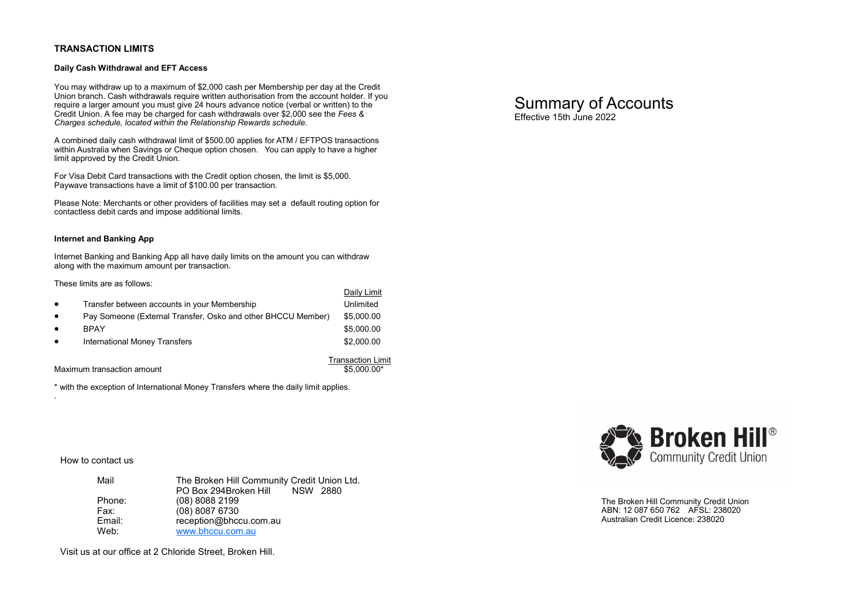## **TRANSACTION LIMITS**

## **Daily Cash Withdrawal and EFT Access**

You may withdraw up to a maximum of \$2,000 cash per Membership per day at the Credit Union branch. Cash withdrawals require written authorisation from the account holder. If you require a larger amount you must give 24 hours advance notice (verbal or written) to the Credit Union. A fee may be charged for cash withdrawals over \$2,000 see the *Fees & Charges schedule, located within the Relationship Rewards schedule.*

A combined daily cash withdrawal limit of \$500.00 applies for ATM / EFTPOS transactions within Australia when Savings or Cheque option chosen. You can apply to have a higher limit approved by the Credit Union.

For Visa Debit Card transactions with the Credit option chosen, the limit is \$5,000. Paywave transactions have a limit of \$100.00 per transaction.

Please Note: Merchants or other providers of facilities may set a default routing option for contactless debit cards and impose additional limits.

### **Internet and Banking App**

Internet Banking and Banking App all have daily limits on the amount you can withdraw along with the maximum amount per transaction.

## These limits are as follows:

|           |                                                              | Dally Lillin             |
|-----------|--------------------------------------------------------------|--------------------------|
| $\bullet$ | Transfer between accounts in your Membership                 | Unlimited                |
| $\bullet$ | Pay Someone (External Transfer, Osko and other BHCCU Member) | \$5,000.00               |
| $\bullet$ | <b>BPAY</b>                                                  | \$5,000.00               |
| $\bullet$ | <b>International Money Transfers</b>                         | \$2,000.00               |
|           |                                                              | <b>Transaction Limit</b> |

Daily Limit

Maximum transaction amount the state of the state of the state of the state of the state of the state of the state of the state of the state of the state of the state of the state of the state of the state of the state of

\* with the exception of International Money Transfers where the daily limit applies.

How to contact us

.

| Mail   | The Broken Hill Community Credit Union Ltd. |
|--------|---------------------------------------------|
|        | PO Box 294Broken Hill NSW 2880              |
| Phone: | $(08)$ 8088 2199                            |
| Fax:   | $(08)$ 8087 6730                            |
| Email: | reception@bhccu.com.au                      |
| Web:   | www.bhccu.com.au                            |

Visit us at our office at 2 Chloride Street, Broken Hill.

Summary of Accounts Effective 15th June 2022



The Broken Hill Community Credit Union ABN: 12 087 650 762 AFSL: 238020 Australian Credit Licence: 238020